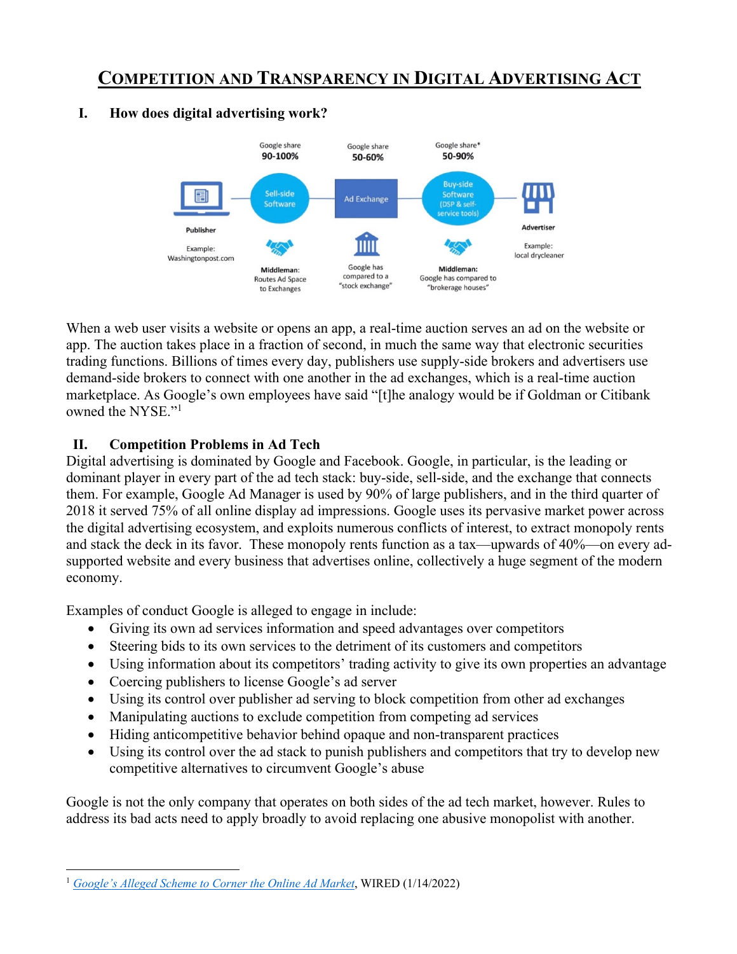# **COMPETITION AND TRANSPARENCY IN DIGITAL ADVERTISING ACT**



#### **I. How does digital advertising work?**

When a web user visits a website or opens an app, a real-time auction serves an ad on the website or app. The auction takes place in a fraction of second, in much the same way that electronic securities trading functions. Billions of times every day, publishers use supply-side brokers and advertisers use demand-side brokers to connect with one another in the ad exchanges, which is a real-time auction marketplace. As Google's own employees have said "[t]he analogy would be if Goldman or Citibank owned the NYSE."1

#### **II. Competition Problems in Ad Tech**

Digital advertising is dominated by Google and Facebook. Google, in particular, is the leading or dominant player in every part of the ad tech stack: buy-side, sell-side, and the exchange that connects them. For example, Google Ad Manager is used by 90% of large publishers, and in the third quarter of 2018 it served 75% of all online display ad impressions. Google uses its pervasive market power across the digital advertising ecosystem, and exploits numerous conflicts of interest, to extract monopoly rents and stack the deck in its favor. These monopoly rents function as a tax—upwards of 40%—on every adsupported website and every business that advertises online, collectively a huge segment of the modern economy.

Examples of conduct Google is alleged to engage in include:

- Giving its own ad services information and speed advantages over competitors
- Steering bids to its own services to the detriment of its customers and competitors
- Using information about its competitors' trading activity to give its own properties an advantage
- Coercing publishers to license Google's ad server
- Using its control over publisher ad serving to block competition from other ad exchanges
- Manipulating auctions to exclude competition from competing ad services
- Hiding anticompetitive behavior behind opaque and non-transparent practices
- Using its control over the ad stack to punish publishers and competitors that try to develop new competitive alternatives to circumvent Google's abuse

Google is not the only company that operates on both sides of the ad tech market, however. Rules to address its bad acts need to apply broadly to avoid replacing one abusive monopolist with another.

<sup>1</sup> *Google's Alleged Scheme to Corner the Online Ad Market*, WIRED (1/14/2022)